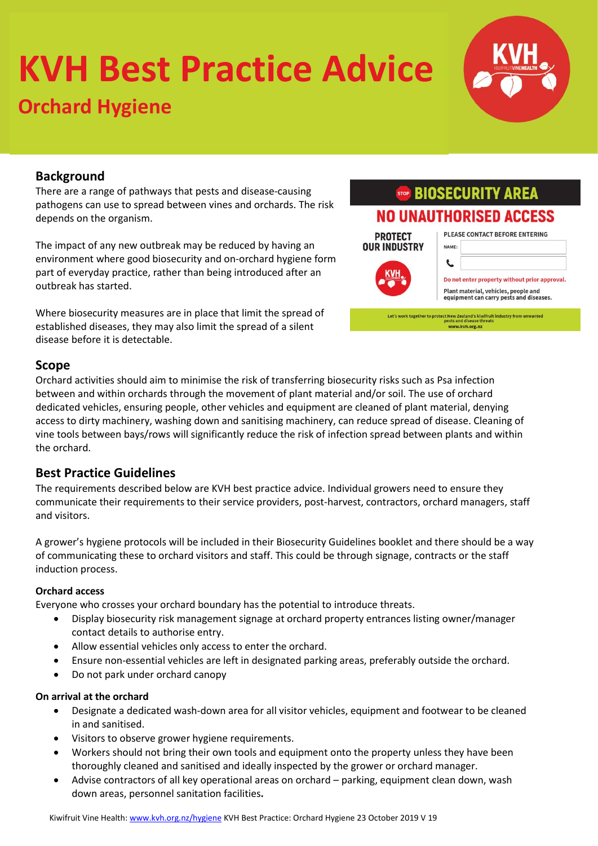# **KVH Best Practice Advice**

## **Orchard Hygiene**

### **Background**

There are a range of pathways that pests and disease-causing pathogens can use to spread between vines and orchards. The risk depends on the organism.

The impact of any new outbreak may be reduced by having an environment where good biosecurity and on-orchard hygiene form part of everyday practice, rather than being introduced after an outbreak has started.

Where biosecurity measures are in place that limit the spread of established diseases, they may also limit the spread of a silent disease before it is detectable.

#### **STOP BIOSECURITY AREA NO UNAUTHORISED ACCESS** PLEASE CONTACT BEFORE ENTERING **PROTECT OUR INDUSTRY** NAME: L Do not enter property without prior approval. Plant material, vehicles, people and equipment can carry pests and diseases. Let's work together to protect New Zealand's kiwifruit industry from unwanted<br>pests and disease threats<br>www.kvh.org.nz

#### **Scope**

Orchard activities should aim to minimise the risk of transferring biosecurity risks such as Psa infection between and within orchards through the movement of plant material and/or soil. The use of orchard dedicated vehicles, ensuring people, other vehicles and equipment are cleaned of plant material, denying access to dirty machinery, washing down and sanitising machinery, can reduce spread of disease. Cleaning of vine tools between bays/rows will significantly reduce the risk of infection spread between plants and within the orchard.

#### **Best Practice Guidelines**

The requirements described below are KVH best practice advice. Individual growers need to ensure they communicate their requirements to their service providers, post-harvest, contractors, orchard managers, staff and visitors.

A grower's hygiene protocols will be included in their Biosecurity Guidelines booklet and there should be a way of communicating these to orchard visitors and staff. This could be through signage, contracts or the staff induction process.

#### **Orchard access**

Everyone who crosses your orchard boundary has the potential to introduce threats.

- Display biosecurity risk management signage at orchard property entrances listing owner/manager contact details to authorise entry.
- Allow essential vehicles only access to enter the orchard.
- Ensure non-essential vehicles are left in designated parking areas, preferably outside the orchard.
- Do not park under orchard canopy

#### **On arrival at the orchard**

- Designate a dedicated wash-down area for all visitor vehicles, equipment and footwear to be cleaned in and sanitised.
- Visitors to observe grower hygiene requirements.
- Workers should not bring their own tools and equipment onto the property unless they have been thoroughly cleaned and sanitised and ideally inspected by the grower or orchard manager.
- Advise contractors of all key operational areas on orchard parking, equipment clean down, wash down areas, personnel sanitation facilities**.**

Kiwifruit Vine Health[: www.kvh.org.nz/hygiene](http://www.kvh.org.nz/hygiene) KVH Best Practice: Orchard Hygiene 23 October 2019 V 19